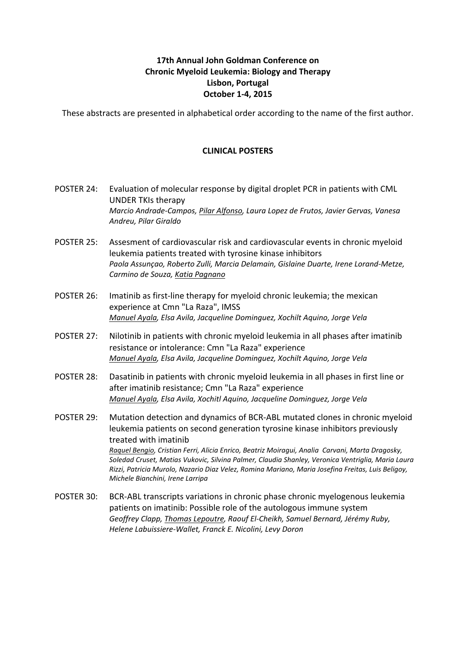## **17th Annual John Goldman Conference on Chronic Myeloid Leukemia: Biology and Therapy Lisbon, Portugal October 1-4, 2015**

These abstracts are presented in alphabetical order according to the name of the first author.

## **CLINICAL POSTERS**

- POSTER 24: Evaluation of molecular response by digital droplet PCR in patients with CML UNDER TKIs therapy *Marcio Andrade-Campos, Pilar Alfonso, Laura Lopez de Frutos, Javier Gervas, Vanesa Andreu, Pilar Giraldo*
- POSTER 25: Assesment of cardiovascular risk and cardiovascular events in chronic myeloid leukemia patients treated with tyrosine kinase inhibitors Paola Assunçao, Roberto Zulli, Marcia Delamain, Gislaine Duarte, Irene Lorand-Metze, *Carmino de Souza, Katia Pagnano*
- POSTER 26: Imatinib as first-line therapy for myeloid chronic leukemia; the mexican experience at Cmn "La Raza", IMSS *Manuel Ayala, Elsa Avila, Jacqueline Dominguez, Xochilt Aquino, Jorge Vela*
- POSTER 27: Nilotinib in patients with chronic myeloid leukemia in all phases after imatinib resistance or intolerance: Cmn "La Raza" experience *Manuel Ayala, Elsa Avila, Jacqueline Dominguez, Xochilt Aquino, Jorge Vela*
- POSTER 28: Dasatinib in patients with chronic myeloid leukemia in all phases in first line or after imatinib resistance; Cmn "La Raza" experience *Manuel Ayala, Elsa Avila, Xochitl Aquino, Jacqueline Dominguez, Jorge Vela*
- POSTER 29: Mutation detection and dynamics of BCR-ABL mutated clones in chronic myeloid leukemia patients on second generation tyrosine kinase inhibitors previously treated with imatinib *Raquel Bengio, Cristian Ferri, Alicia Enrico, Beatriz Moiragui, Analia Carvani, Marta Dragosky,* Soledad Cruset, Matias Vukovic, Silvina Palmer, Claudia Shanley, Veronica Ventriglia, Maria Laura *Rizzi, Patricia Murolo, Nazario Diaz Velez, Romina Mariano, Maria Josefina Freitas, Luis Beligoy, Michele Bianchini, Irene Larripa*
- POSTER 30: BCR-ABL transcripts variations in chronic phase chronic myelogenous leukemia patients on imatinib: Possible role of the autologous immune system Geoffrey Clapp, Thomas Lepoutre, Raouf El-Cheikh, Samuel Bernard, Jérémy Ruby, *Helene Labuissiere-Wallet, Franck E. Nicolini, Levy Doron*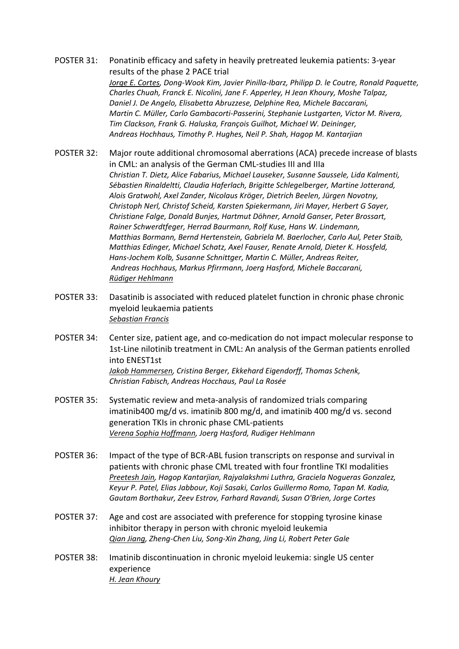- POSTER 31: Ponatinib efficacy and safety in heavily pretreated leukemia patients: 3-year results of the phase 2 PACE trial *Jorge E. Cortes, Dong-Wook Kim, Javier Pinilla-Ibarz, Philipp D. le Coutre, Ronald Paquette, Charles Chuah, Franck E. Nicolini, Jane F. Apperley, H Jean Khoury, Moshe Talpaz,* **Daniel J. De Angelo, Elisabetta Abruzzese, Delphine Rea, Michele Baccarani,** *Martin C. Müller, Carlo Gambacorti-Passerini, Stephanie Lustgarten, Victor M. Rivera, Tim Clackson, Frank G. Haluska, François Guilhot, Michael W. Deininger, Andreas Hochhaus, Timothy P. Hughes, Neil P. Shah, Hagop M. Kantarjian*
- POSTER 32: Major route additional chromosomal aberrations (ACA) precede increase of blasts in CML: an analysis of the German CML-studies III and IIIa *Christian T. Dietz, Alice Fabarius, Michael Lauseker, Susanne Saussele, Lida Kalmenti,*  Sébastien Rinaldeltti, Claudia Haferlach, Brigitte Schlegelberger, Martine Jotterand, Alois Gratwohl, Axel Zander, Nicolaus Kröger, Dietrich Beelen, Jürgen Novotny, Christoph Nerl, Christof Scheid, Karsten Spiekermann, Jiri Mayer, Herbert G Sayer, *Christiane Falge, Donald Bunjes, Hartmut Döhner, Arnold Ganser, Peter Brossart,* **Rainer Schwerdtfeger, Herrad Baurmann, Rolf Kuse, Hans W. Lindemann,** *Matthias Bormann, Bernd Hertenstein, Gabriela M. Baerlocher, Carlo Aul, Peter Staib, Matthias Edinger, Michael Schatz, Axel Fauser, Renate Arnold, Dieter K. Hossfeld, Hans-Jochem Kolb, Susanne Schnittger, Martin C. Müller, Andreas Reiter, Andreas Hochhaus, Markus Pfirrmann, Joerg Hasford, Michele Baccarani, Rüdiger Hehlmann*
- POSTER 33: Dasatinib is associated with reduced platelet function in chronic phase chronic myeloid leukaemia patients *Sebastian Francis*
- POSTER 34: Center size, patient age, and co-medication do not impact molecular response to 1st-Line nilotinib treatment in CML: An analysis of the German patients enrolled into ENEST1st **Jakob Hammersen, Cristina Berger, Ekkehard Eigendorff, Thomas Schenk,** *Christian Fabisch, Andreas Hocchaus, Paul La Rosée*
- POSTER 35: Systematic review and meta-analysis of randomized trials comparing imatinib400 mg/d vs. imatinib 800 mg/d, and imatinib 400 mg/d vs. second generation TKIs in chronic phase CML-patients *Verena Sophia Hoffmann, Joerg Hasford, Rudiger Hehlmann*
- POSTER 36: Impact of the type of BCR-ABL fusion transcripts on response and survival in patients with chronic phase CML treated with four frontline TKI modalities *Preetesh Jain, Hagop Kantarjian, Rajyalakshmi Luthra, Graciela Nogueras Gonzalez,* Keyur P. Patel, Elias Jabbour, Koji Sasaki, Carlos Guillermo Romo, Tapan M. Kadia, *Gautam Borthakur, Zeev Estrov, Farhard Ravandi, Susan O'Brien, Jorge Cortes*
- POSTER 37: Age and cost are associated with preference for stopping tyrosine kinase inhibitor therapy in person with chronic myeloid leukemia *Qian Jiang, Zheng-Chen Liu, Song-Xin Zhang, Jing Li, Robert Peter Gale*
- POSTER 38: Imatinib discontinuation in chronic myeloid leukemia: single US center experience *H. Jean Khoury*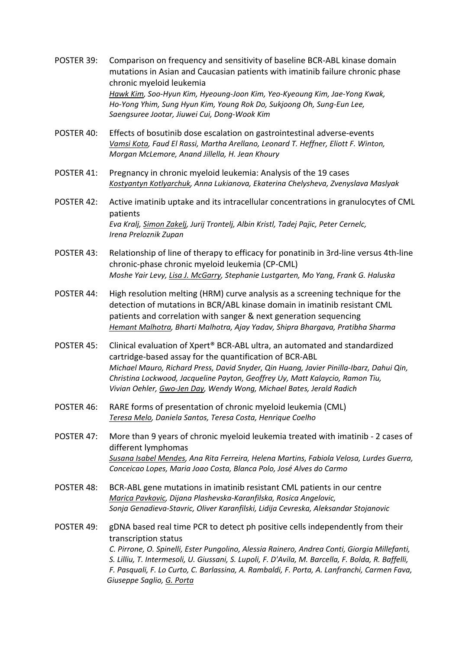- POSTER 39: Comparison on frequency and sensitivity of baseline BCR-ABL kinase domain mutations in Asian and Caucasian patients with imatinib failure chronic phase chronic myeloid leukemia Hawk Kim, Soo-Hyun Kim, Hyeoung-Joon Kim, Yeo-Kyeoung Kim, Jae-Yong Kwak, Ho-Yong Yhim, Sung Hyun Kim, Young Rok Do, Sukjoong Oh, Sung-Eun Lee, *Saengsuree Jootar, Jiuwei Cui, Dong-Wook Kim*
- POSTER 40: Effects of bosutinib dose escalation on gastrointestinal adverse-events *Vamsi Kota, Faud El Rassi, Martha Arellano, Leonard T. Heffner, Eliott F. Winton, Morgan McLemore, Anand Jillella, H. Jean Khoury*
- POSTER 41: Pregnancy in chronic myeloid leukemia: Analysis of the 19 cases *Kostyantyn Kotlyarchuk, Anna Lukianova, Ekaterina Chelysheva, Zvenyslava Maslyak*
- POSTER 42: Active imatinib uptake and its intracellular concentrations in granulocytes of CML patients *Eva Kralj, Simon Zakelj, Jurij Trontelj, Albin Kristl, Tadej Pajic, Peter Cernelc, Irena Preloznik Zupan*
- POSTER 43: Relationship of line of therapy to efficacy for ponatinib in 3rd-line versus 4th-line chronic-phase chronic myeloid leukemia (CP-CML) *Moshe Yair Levy, Lisa J. McGarry, Stephanie Lustgarten, Mo Yang, Frank G. Haluska*
- POSTER 44: High resolution melting (HRM) curve analysis as a screening technique for the detection of mutations in BCR/ABL kinase domain in imatinib resistant CML patients and correlation with sanger & next generation sequencing *Hemant Malhotra, Bharti Malhotra, Ajay Yadav, Shipra Bhargava, Pratibha Sharma*
- POSTER 45: Clinical evaluation of Xpert<sup>®</sup> BCR-ABL ultra, an automated and standardized cartridge-based assay for the quantification of BCR-ABL *Michael Mauro, Richard Press, David Snyder, Qin Huang, Javier Pinilla-Ibarz, Dahui Qin, Christina Lockwood, Jacqueline Payton, Geoffrey Uy, Matt Kalaycio, Ramon Tiu, Vivian Oehler, Gwo-Jen Day, Wendy Wong, Michael Bates, Jerald Radich*
- POSTER 46: RARE forms of presentation of chronic myeloid leukemia (CML) *Teresa Melo, Daniela Santos, Teresa Costa, Henrique Coelho*
- POSTER 47: More than 9 years of chronic myeloid leukemia treated with imatinib 2 cases of different lymphomas Susana Isabel Mendes, Ana Rita Ferreira, Helena Martins, Fabiola Velosa, Lurdes Guerra, *Conceicao Lopes, Maria Joao Costa, Blanca Polo, José Alves do Carmo*
- POSTER 48: BCR-ABL gene mutations in imatinib resistant CML patients in our centre *Marica Pavkovic, Dijana Plashevska-Karanfilska, Rosica Angelovic, Sonja Genadieva-Stavric, Oliver Karanfilski, Lidija Cevreska, Aleksandar Stojanovic*
- POSTER 49: gDNA based real time PCR to detect ph positive cells independently from their transcription status *C. Pirrone, O. Spinelli, Ester Pungolino, Alessia Rainero, Andrea Conti, Giorgia Millefanti,* S. Lilliu, T. Intermesoli, U. Giussani, S. Lupoli, F. D'Avila, M. Barcella, F. Bolda, R. Baffelli, *F. Pasquali, F. Lo Curto, C. Barlassina, A. Rambaldi, F. Porta, A. Lanfranchi, Carmen Fava, Giuseppe Saglio, G. Porta*